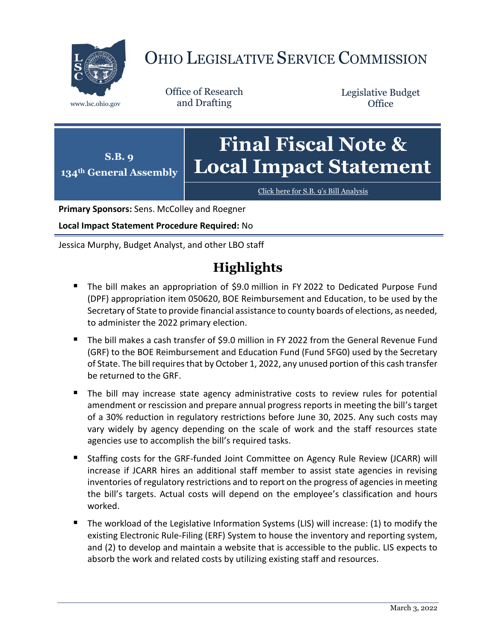

# OHIO LEGISLATIVE SERVICE COMMISSION

Office of Research www.lsc.ohio.gov and Drafting

Legislative Budget **Office** 

**S.B. 9 134th General Assembly Final Fiscal Note & Local Impact Statement**

[Click here for S.B. 9](https://www.legislature.ohio.gov/legislation/legislation-documents?id=GA134-SB-9)'s Bill Analysis

**Primary Sponsors:** Sens. McColley and Roegner

**Local Impact Statement Procedure Required:** No

Jessica Murphy, Budget Analyst, and other LBO staff

# **Highlights**

- The bill makes an appropriation of \$9.0 million in FY 2022 to Dedicated Purpose Fund (DPF) appropriation item 050620, BOE Reimbursement and Education, to be used by the Secretary of State to provide financial assistance to county boards of elections, as needed, to administer the 2022 primary election.
- The bill makes a cash transfer of \$9.0 million in FY 2022 from the General Revenue Fund (GRF) to the BOE Reimbursement and Education Fund (Fund 5FG0) used by the Secretary of State. The bill requires that by October 1, 2022, any unused portion of this cash transfer be returned to the GRF.
- The bill may increase state agency administrative costs to review rules for potential amendment or rescission and prepare annual progress reports in meeting the bill's target of a 30% reduction in regulatory restrictions before June 30, 2025. Any such costs may vary widely by agency depending on the scale of work and the staff resources state agencies use to accomplish the bill's required tasks.
- Staffing costs for the GRF-funded Joint Committee on Agency Rule Review (JCARR) will increase if JCARR hires an additional staff member to assist state agencies in revising inventories of regulatory restrictions and to report on the progress of agencies in meeting the bill's targets. Actual costs will depend on the employee's classification and hours worked.
- The workload of the Legislative Information Systems (LIS) will increase: (1) to modify the existing Electronic Rule-Filing (ERF) System to house the inventory and reporting system, and (2) to develop and maintain a website that is accessible to the public. LIS expects to absorb the work and related costs by utilizing existing staff and resources.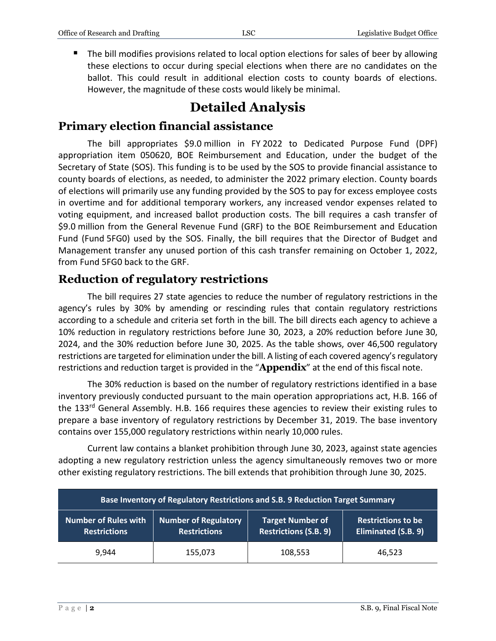■ The bill modifies provisions related to local option elections for sales of beer by allowing these elections to occur during special elections when there are no candidates on the ballot. This could result in additional election costs to county boards of elections. However, the magnitude of these costs would likely be minimal.

## **Detailed Analysis**

### **Primary election financial assistance**

The bill appropriates \$9.0 million in FY 2022 to Dedicated Purpose Fund (DPF) appropriation item 050620, BOE Reimbursement and Education, under the budget of the Secretary of State (SOS). This funding is to be used by the SOS to provide financial assistance to county boards of elections, as needed, to administer the 2022 primary election. County boards of elections will primarily use any funding provided by the SOS to pay for excess employee costs in overtime and for additional temporary workers, any increased vendor expenses related to voting equipment, and increased ballot production costs. The bill requires a cash transfer of \$9.0 million from the General Revenue Fund (GRF) to the BOE Reimbursement and Education Fund (Fund 5FG0) used by the SOS. Finally, the bill requires that the Director of Budget and Management transfer any unused portion of this cash transfer remaining on October 1, 2022, from Fund 5FG0 back to the GRF.

#### **Reduction of regulatory restrictions**

The bill requires 27 state agencies to reduce the number of regulatory restrictions in the agency's rules by 30% by amending or rescinding rules that contain regulatory restrictions according to a schedule and criteria set forth in the bill. The bill directs each agency to achieve a 10% reduction in regulatory restrictions before June 30, 2023, a 20% reduction before June 30, 2024, and the 30% reduction before June 30, 2025. As the table shows, over 46,500 regulatory restrictions are targeted for elimination under the bill. A listing of each covered agency's regulatory restrictions and reduction target is provided in the "**Appendix**" at the end of this fiscal note.

The 30% reduction is based on the number of regulatory restrictions identified in a base inventory previously conducted pursuant to the main operation appropriations act, H.B. 166 of the 133<sup>rd</sup> General Assembly. H.B. 166 requires these agencies to review their existing rules to prepare a base inventory of regulatory restrictions by December 31, 2019. The base inventory contains over 155,000 regulatory restrictions within nearly 10,000 rules.

Current law contains a blanket prohibition through June 30, 2023, against state agencies adopting a new regulatory restriction unless the agency simultaneously removes two or more other existing regulatory restrictions. The bill extends that prohibition through June 30, 2025.

| Base Inventory of Regulatory Restrictions and S.B. 9 Reduction Target Summary |                                                    |                                                         |                                                  |  |  |  |
|-------------------------------------------------------------------------------|----------------------------------------------------|---------------------------------------------------------|--------------------------------------------------|--|--|--|
| <b>Number of Rules with</b><br><b>Restrictions</b>                            | <b>Number of Regulatory</b><br><b>Restrictions</b> | <b>Target Number of</b><br><b>Restrictions (S.B. 9)</b> | <b>Restrictions to be</b><br>Eliminated (S.B. 9) |  |  |  |
| 9.944                                                                         | 155,073                                            | 108,553                                                 | 46,523                                           |  |  |  |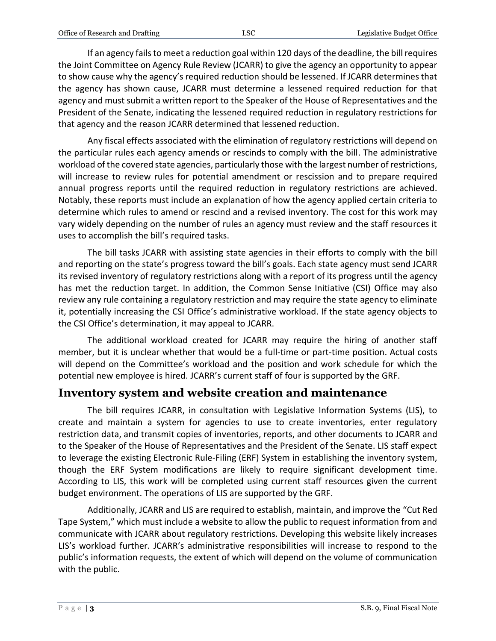If an agency fails to meet a reduction goal within 120 days of the deadline, the bill requires the Joint Committee on Agency Rule Review (JCARR) to give the agency an opportunity to appear to show cause why the agency's required reduction should be lessened. If JCARR determines that the agency has shown cause, JCARR must determine a lessened required reduction for that agency and must submit a written report to the Speaker of the House of Representatives and the President of the Senate, indicating the lessened required reduction in regulatory restrictions for that agency and the reason JCARR determined that lessened reduction.

Any fiscal effects associated with the elimination of regulatory restrictions will depend on the particular rules each agency amends or rescinds to comply with the bill. The administrative workload of the covered state agencies, particularly those with the largest number of restrictions, will increase to review rules for potential amendment or rescission and to prepare required annual progress reports until the required reduction in regulatory restrictions are achieved. Notably, these reports must include an explanation of how the agency applied certain criteria to determine which rules to amend or rescind and a revised inventory. The cost for this work may vary widely depending on the number of rules an agency must review and the staff resources it uses to accomplish the bill's required tasks.

The bill tasks JCARR with assisting state agencies in their efforts to comply with the bill and reporting on the state's progress toward the bill's goals. Each state agency must send JCARR its revised inventory of regulatory restrictions along with a report of its progress until the agency has met the reduction target. In addition, the Common Sense Initiative (CSI) Office may also review any rule containing a regulatory restriction and may require the state agency to eliminate it, potentially increasing the CSI Office's administrative workload. If the state agency objects to the CSI Office's determination, it may appeal to JCARR.

The additional workload created for JCARR may require the hiring of another staff member, but it is unclear whether that would be a full-time or part-time position. Actual costs will depend on the Committee's workload and the position and work schedule for which the potential new employee is hired. JCARR's current staff of four is supported by the GRF.

### **Inventory system and website creation and maintenance**

The bill requires JCARR, in consultation with Legislative Information Systems (LIS), to create and maintain a system for agencies to use to create inventories, enter regulatory restriction data, and transmit copies of inventories, reports, and other documents to JCARR and to the Speaker of the House of Representatives and the President of the Senate. LIS staff expect to leverage the existing Electronic Rule-Filing (ERF) System in establishing the inventory system, though the ERF System modifications are likely to require significant development time. According to LIS, this work will be completed using current staff resources given the current budget environment. The operations of LIS are supported by the GRF.

Additionally, JCARR and LIS are required to establish, maintain, and improve the "Cut Red Tape System," which must include a website to allow the public to request information from and communicate with JCARR about regulatory restrictions. Developing this website likely increases LIS's workload further. JCARR's administrative responsibilities will increase to respond to the public's information requests, the extent of which will depend on the volume of communication with the public.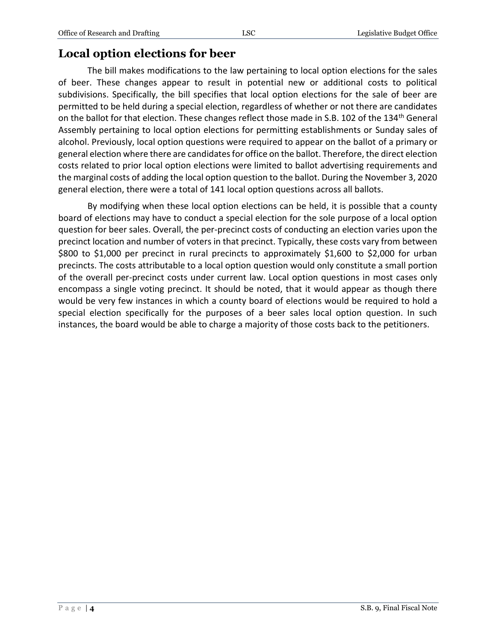### **Local option elections for beer**

The bill makes modifications to the law pertaining to local option elections for the sales of beer. These changes appear to result in potential new or additional costs to political subdivisions. Specifically, the bill specifies that local option elections for the sale of beer are permitted to be held during a special election, regardless of whether or not there are candidates on the ballot for that election. These changes reflect those made in S.B. 102 of the 134<sup>th</sup> General Assembly pertaining to local option elections for permitting establishments or Sunday sales of alcohol. Previously, local option questions were required to appear on the ballot of a primary or general election where there are candidates for office on the ballot. Therefore, the direct election costs related to prior local option elections were limited to ballot advertising requirements and the marginal costs of adding the local option question to the ballot. During the November 3, 2020 general election, there were a total of 141 local option questions across all ballots.

By modifying when these local option elections can be held, it is possible that a county board of elections may have to conduct a special election for the sole purpose of a local option question for beer sales. Overall, the per-precinct costs of conducting an election varies upon the precinct location and number of voters in that precinct. Typically, these costs vary from between \$800 to \$1,000 per precinct in rural precincts to approximately \$1,600 to \$2,000 for urban precincts. The costs attributable to a local option question would only constitute a small portion of the overall per-precinct costs under current law. Local option questions in most cases only encompass a single voting precinct. It should be noted, that it would appear as though there would be very few instances in which a county board of elections would be required to hold a special election specifically for the purposes of a beer sales local option question. In such instances, the board would be able to charge a majority of those costs back to the petitioners.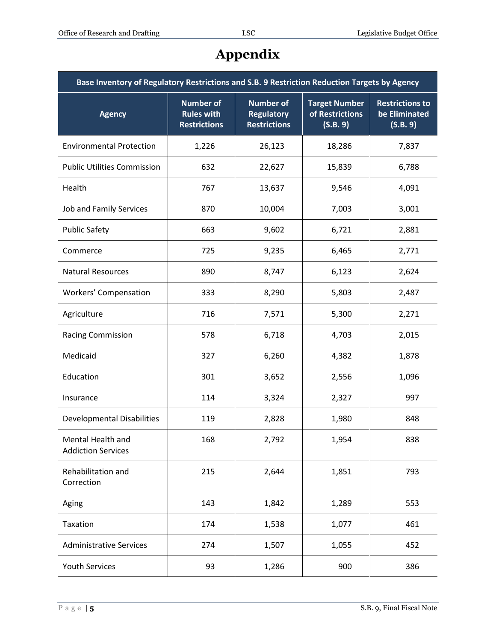| Base Inventory of Regulatory Restrictions and S.B. 9 Restriction Reduction Targets by Agency |                                                              |                                                              |                                                     |                                                     |  |  |
|----------------------------------------------------------------------------------------------|--------------------------------------------------------------|--------------------------------------------------------------|-----------------------------------------------------|-----------------------------------------------------|--|--|
| <b>Agency</b>                                                                                | <b>Number of</b><br><b>Rules with</b><br><b>Restrictions</b> | <b>Number of</b><br><b>Regulatory</b><br><b>Restrictions</b> | <b>Target Number</b><br>of Restrictions<br>(S.B. 9) | <b>Restrictions to</b><br>be Eliminated<br>(S.B. 9) |  |  |
| <b>Environmental Protection</b>                                                              | 1,226                                                        | 26,123                                                       | 18,286                                              | 7,837                                               |  |  |
| <b>Public Utilities Commission</b>                                                           | 632                                                          | 22,627                                                       | 15,839                                              | 6,788                                               |  |  |
| Health                                                                                       | 767                                                          | 13,637                                                       | 9,546                                               | 4,091                                               |  |  |
| Job and Family Services                                                                      | 870                                                          | 10,004                                                       | 7,003                                               | 3,001                                               |  |  |
| <b>Public Safety</b>                                                                         | 663                                                          | 9,602                                                        | 6,721                                               | 2,881                                               |  |  |
| Commerce                                                                                     | 725                                                          | 9,235                                                        | 6,465                                               | 2,771                                               |  |  |
| <b>Natural Resources</b>                                                                     | 890                                                          | 8,747                                                        | 6,123                                               | 2,624                                               |  |  |
| <b>Workers' Compensation</b>                                                                 | 333                                                          | 8,290                                                        | 5,803                                               | 2,487                                               |  |  |
| Agriculture                                                                                  | 716                                                          | 7,571                                                        | 5,300                                               | 2,271                                               |  |  |
| <b>Racing Commission</b>                                                                     | 578                                                          | 6,718                                                        | 4,703                                               | 2,015                                               |  |  |
| Medicaid                                                                                     | 327                                                          | 6,260                                                        | 4,382                                               | 1,878                                               |  |  |
| Education                                                                                    | 301                                                          | 3,652                                                        | 2,556                                               | 1,096                                               |  |  |
| Insurance                                                                                    | 114                                                          | 3,324                                                        | 2,327                                               | 997                                                 |  |  |
| <b>Developmental Disabilities</b>                                                            | 119                                                          | 2,828                                                        | 1,980                                               | 848                                                 |  |  |
| Mental Health and<br><b>Addiction Services</b>                                               | 168                                                          | 2,792                                                        | 1,954                                               | 838                                                 |  |  |
| Rehabilitation and<br>Correction                                                             | 215                                                          | 2,644                                                        | 1,851                                               | 793                                                 |  |  |
| Aging                                                                                        | 143                                                          | 1,842                                                        | 1,289                                               | 553                                                 |  |  |
| Taxation                                                                                     | 174                                                          | 1,538                                                        | 1,077                                               | 461                                                 |  |  |
| <b>Administrative Services</b>                                                               | 274                                                          | 1,507                                                        | 1,055                                               | 452                                                 |  |  |
| <b>Youth Services</b>                                                                        | 93                                                           | 1,286                                                        | 900                                                 | 386                                                 |  |  |

# **Appendix**